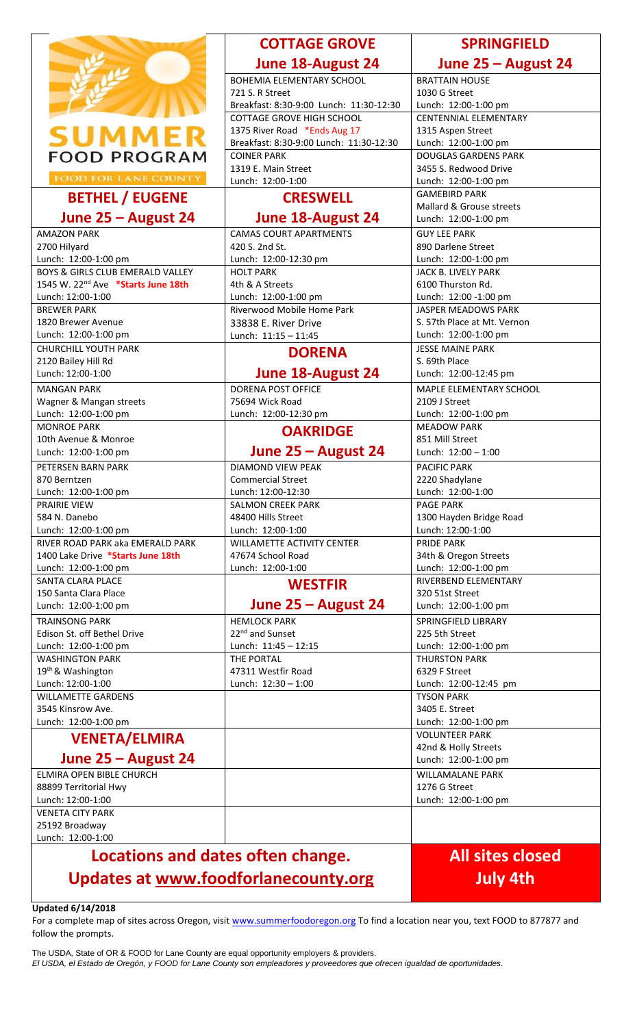|                                                                                    | <b>COTTAGE GROVE</b>                                                        | <b>SPRINGFIELD</b>                                   |
|------------------------------------------------------------------------------------|-----------------------------------------------------------------------------|------------------------------------------------------|
|                                                                                    | <b>June 18-August 24</b>                                                    | June 25 - August 24                                  |
|                                                                                    | BOHEMIA ELEMENTARY SCHOOL                                                   | <b>BRATTAIN HOUSE</b>                                |
|                                                                                    | 721 S. R Street                                                             | 1030 G Street                                        |
|                                                                                    | Breakfast: 8:30-9:00 Lunch: 11:30-12:30<br><b>COTTAGE GROVE HIGH SCHOOL</b> | Lunch: 12:00-1:00 pm<br><b>CENTENNIAL ELEMENTARY</b> |
|                                                                                    | 1375 River Road *Ends Aug 17                                                | 1315 Aspen Street                                    |
| <b>SUMMER</b>                                                                      | Breakfast: 8:30-9:00 Lunch: 11:30-12:30                                     | Lunch: 12:00-1:00 pm                                 |
| <b>FOOD PROGRAM</b>                                                                | <b>COINER PARK</b>                                                          | <b>DOUGLAS GARDENS PARK</b>                          |
| <b>FOOD FOR LANE COUNTY</b>                                                        | 1319 E. Main Street<br>Lunch: 12:00-1:00                                    | 3455 S. Redwood Drive<br>Lunch: 12:00-1:00 pm        |
| <b>BETHEL / EUGENE</b>                                                             | <b>CRESWELL</b>                                                             | <b>GAMEBIRD PARK</b>                                 |
| June 25 - August 24                                                                | <b>June 18-August 24</b>                                                    | Mallard & Grouse streets<br>Lunch: 12:00-1:00 pm     |
| <b>AMAZON PARK</b>                                                                 | <b>CAMAS COURT APARTMENTS</b>                                               | <b>GUY LEE PARK</b>                                  |
| 2700 Hilyard                                                                       | 420 S. 2nd St.                                                              | 890 Darlene Street                                   |
| Lunch: 12:00-1:00 pm                                                               | Lunch: 12:00-12:30 pm                                                       | Lunch: 12:00-1:00 pm                                 |
| BOYS & GIRLS CLUB EMERALD VALLEY<br>1545 W. 22 <sup>nd</sup> Ave *Starts June 18th | <b>HOLT PARK</b><br>4th & A Streets                                         | JACK B. LIVELY PARK<br>6100 Thurston Rd.             |
| Lunch: 12:00-1:00                                                                  | Lunch: 12:00-1:00 pm                                                        | Lunch: 12:00 -1:00 pm                                |
| <b>BREWER PARK</b>                                                                 | Riverwood Mobile Home Park                                                  | JASPER MEADOWS PARK                                  |
| 1820 Brewer Avenue                                                                 | 33838 E. River Drive                                                        | S. 57th Place at Mt. Vernon                          |
| Lunch: 12:00-1:00 pm                                                               | Lunch: $11:15 - 11:45$                                                      | Lunch: 12:00-1:00 pm                                 |
| <b>CHURCHILL YOUTH PARK</b>                                                        | <b>DORENA</b>                                                               | <b>JESSE MAINE PARK</b><br>S. 69th Place             |
| 2120 Bailey Hill Rd<br>Lunch: 12:00-1:00                                           | <b>June 18-August 24</b>                                                    | Lunch: 12:00-12:45 pm                                |
| <b>MANGAN PARK</b>                                                                 | <b>DORENA POST OFFICE</b>                                                   | MAPLE ELEMENTARY SCHOOL                              |
| Wagner & Mangan streets                                                            | 75694 Wick Road                                                             | 2109 J Street                                        |
| Lunch: 12:00-1:00 pm                                                               | Lunch: 12:00-12:30 pm                                                       | Lunch: 12:00-1:00 pm                                 |
| <b>MONROE PARK</b><br>10th Avenue & Monroe                                         | <b>OAKRIDGE</b>                                                             | <b>MEADOW PARK</b><br>851 Mill Street                |
| Lunch: 12:00-1:00 pm                                                               | June 25 – August 24                                                         | Lunch: $12:00 - 1:00$                                |
| PETERSEN BARN PARK                                                                 | <b>DIAMOND VIEW PEAK</b>                                                    | <b>PACIFIC PARK</b>                                  |
| 870 Berntzen                                                                       | <b>Commercial Street</b>                                                    | 2220 Shadylane                                       |
| Lunch: 12:00-1:00 pm                                                               | Lunch: 12:00-12:30                                                          | Lunch: 12:00-1:00                                    |
| <b>PRAIRIE VIEW</b>                                                                | <b>SALMON CREEK PARK</b>                                                    | <b>PAGE PARK</b>                                     |
| 584 N. Danebo<br>Lunch: 12:00-1:00 pm                                              | 48400 Hills Street<br>Lunch: 12:00-1:00                                     | 1300 Hayden Bridge Road<br>Lunch: 12:00-1:00         |
| RIVER ROAD PARK aka EMERALD PARK                                                   | <b>WILLAMETTE ACTIVITY CENTER</b>                                           | <b>PRIDE PARK</b>                                    |
| 1400 Lake Drive *Starts June 18th                                                  | 47674 School Road                                                           | 34th & Oregon Streets                                |
| Lunch: 12:00-1:00 pm                                                               | Lunch: 12:00-1:00                                                           | Lunch: 12:00-1:00 pm                                 |
| <b>SANTA CLARA PLACE</b><br>150 Santa Clara Place                                  | <b>WESTFIR</b>                                                              | RIVERBEND ELEMENTARY<br>320 51st Street              |
| Lunch: 12:00-1:00 pm                                                               | June 25 – August 24                                                         | Lunch: 12:00-1:00 pm                                 |
| <b>TRAINSONG PARK</b>                                                              | <b>HEMLOCK PARK</b>                                                         | <b>SPRINGFIELD LIBRARY</b>                           |
| Edison St. off Bethel Drive                                                        | 22 <sup>nd</sup> and Sunset                                                 | 225 5th Street                                       |
| Lunch: 12:00-1:00 pm<br><b>WASHINGTON PARK</b>                                     | Lunch: $11:45 - 12:15$<br>THE PORTAL                                        | Lunch: 12:00-1:00 pm<br><b>THURSTON PARK</b>         |
| 19 <sup>th</sup> & Washington                                                      | 47311 Westfir Road                                                          | 6329 F Street                                        |
| Lunch: 12:00-1:00                                                                  | Lunch: $12:30 - 1:00$                                                       | Lunch: 12:00-12:45 pm                                |
| <b>WILLAMETTE GARDENS</b>                                                          |                                                                             | <b>TYSON PARK</b>                                    |
| 3545 Kinsrow Ave.                                                                  |                                                                             | 3405 E. Street                                       |
| Lunch: 12:00-1:00 pm                                                               |                                                                             | Lunch: 12:00-1:00 pm<br><b>VOLUNTEER PARK</b>        |
| <b>VENETA/ELMIRA</b>                                                               |                                                                             | 42nd & Holly Streets                                 |
| June 25 – August 24                                                                |                                                                             | Lunch: 12:00-1:00 pm                                 |
| ELMIRA OPEN BIBLE CHURCH                                                           |                                                                             | <b>WILLAMALANE PARK</b>                              |
| 88899 Territorial Hwy                                                              |                                                                             | 1276 G Street                                        |
| Lunch: 12:00-1:00<br><b>VENETA CITY PARK</b>                                       |                                                                             | Lunch: 12:00-1:00 pm                                 |
| 25192 Broadway                                                                     |                                                                             |                                                      |
| Lunch: 12:00-1:00                                                                  |                                                                             |                                                      |
| Locations and dates often change.                                                  |                                                                             | <b>All sites closed</b>                              |
|                                                                                    |                                                                             |                                                      |
| <b>Updates at www.foodforlanecounty.org</b>                                        |                                                                             | <b>July 4th</b>                                      |
|                                                                                    |                                                                             |                                                      |

## **Updated 6/14/2018**

For a complete map of sites across Oregon, visit [www.summerfoodoregon.org](http://www.summerfoodoregon.org/) To find a location near you, text FOOD to 877877 and follow the prompts.

The USDA, State of OR & FOOD for Lane County are equal opportunity employers & providers. *El USDA, el Estado de Oregón, y FOOD for Lane County son empleadores y proveedores que ofrecen igualdad de oportunidades.*